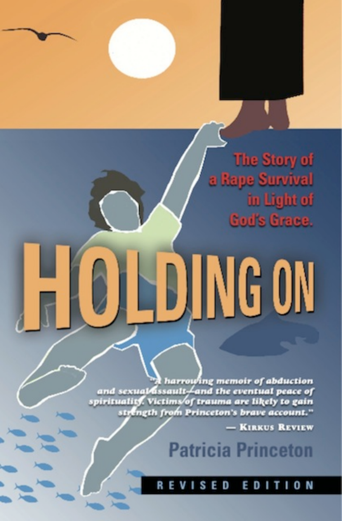The Story of e Survival in Light of od's Grace.

# ING ON

harrowing memoir of abduction<br>and sexual assault Land the eventual peace of<br>spirituality. Victims of trauma are likely to gain stringth from Princeton's brave account."

**KIRKUS REVIEW** 

**Patricia Princeton** 

#### R **SED** ED N ı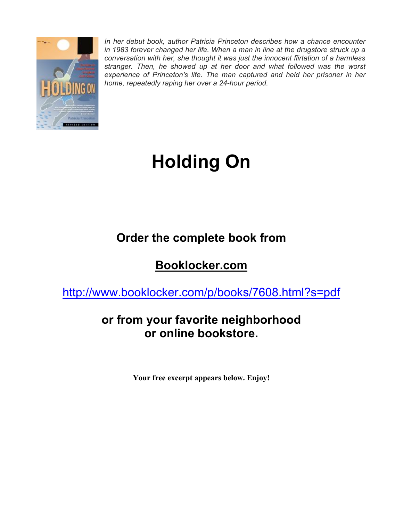

*In her debut book, author Patricia Princeton describes how a chance encounter in 1983 forever changed her life. When a man in line at the drugstore struck up a conversation with her, she thought it was just the innocent flirtation of a harmless stranger. Then, he showed up at her door and what followed was the worst experience of Princeton's life. The man captured and held her prisoner in her home, repeatedly raping her over a 24-hour period.*

# **Holding On**

## **Order the complete book from**

## **Booklocker.com**

http://www.booklocker.com/p/books/7608.html?s=pdf

## **or from your favorite neighborhood or online bookstore.**

**Your free excerpt appears below. Enjoy!**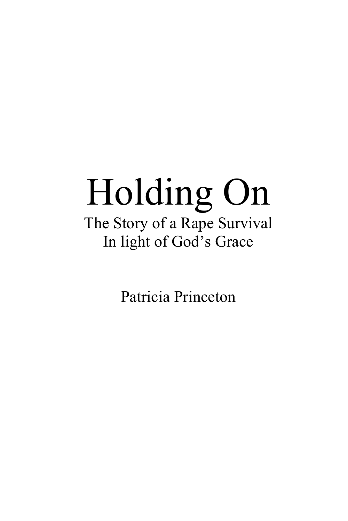## Holding On The Story of a Rape Survival In light of God's Grace

Patricia Princeton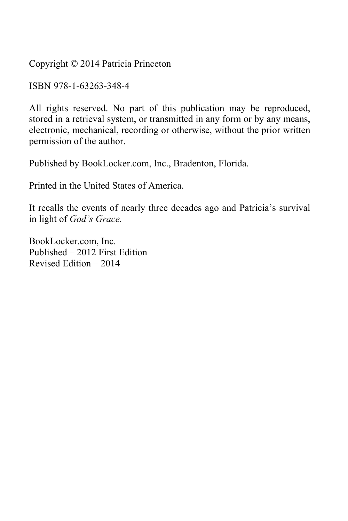Copyright © 2014 Patricia Princeton

ISBN 978-1-63263-348-4

All rights reserved. No part of this publication may be reproduced, stored in a retrieval system, or transmitted in any form or by any means, electronic, mechanical, recording or otherwise, without the prior written permission of the author.

Published by BookLocker.com, Inc., Bradenton, Florida.

Printed in the United States of America.

It recalls the events of nearly three decades ago and Patricia's survival in light of *God's Grace.* 

BookLocker.com, Inc. Published – 2012 First Edition Revised Edition – 2014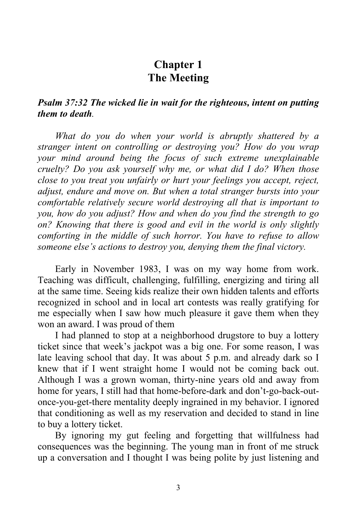#### **Chapter 1 The Meeting**

#### *Psalm 37:32 The wicked lie in wait for the righteous, intent on putting them to death.*

*What do you do when your world is abruptly shattered by a stranger intent on controlling or destroying you? How do you wrap your mind around being the focus of such extreme unexplainable cruelty? Do you ask yourself why me, or what did I do? When those close to you treat you unfairly or hurt your feelings you accept, reject, adjust, endure and move on. But when a total stranger bursts into your comfortable relatively secure world destroying all that is important to you, how do you adjust? How and when do you find the strength to go on? Knowing that there is good and evil in the world is only slightly comforting in the middle of such horror. You have to refuse to allow someone else's actions to destroy you, denying them the final victory.* 

Early in November 1983, I was on my way home from work. Teaching was difficult, challenging, fulfilling, energizing and tiring all at the same time. Seeing kids realize their own hidden talents and efforts recognized in school and in local art contests was really gratifying for me especially when I saw how much pleasure it gave them when they won an award. I was proud of them

I had planned to stop at a neighborhood drugstore to buy a lottery ticket since that week's jackpot was a big one. For some reason, I was late leaving school that day. It was about 5 p.m. and already dark so I knew that if I went straight home I would not be coming back out. Although I was a grown woman, thirty-nine years old and away from home for years, I still had that home-before-dark and don't-go-back-outonce-you-get-there mentality deeply ingrained in my behavior. I ignored that conditioning as well as my reservation and decided to stand in line to buy a lottery ticket.

By ignoring my gut feeling and forgetting that willfulness had consequences was the beginning. The young man in front of me struck up a conversation and I thought I was being polite by just listening and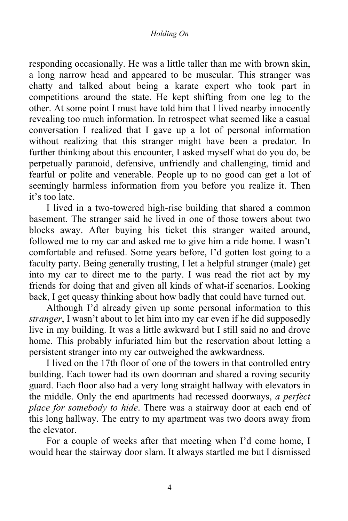#### *Holding On*

responding occasionally. He was a little taller than me with brown skin, a long narrow head and appeared to be muscular. This stranger was chatty and talked about being a karate expert who took part in competitions around the state. He kept shifting from one leg to the other. At some point I must have told him that I lived nearby innocently revealing too much information. In retrospect what seemed like a casual conversation I realized that I gave up a lot of personal information without realizing that this stranger might have been a predator. In further thinking about this encounter, I asked myself what do you do, be perpetually paranoid, defensive, unfriendly and challenging, timid and fearful or polite and venerable. People up to no good can get a lot of seemingly harmless information from you before you realize it. Then it's too late.

I lived in a two-towered high-rise building that shared a common basement. The stranger said he lived in one of those towers about two blocks away. After buying his ticket this stranger waited around, followed me to my car and asked me to give him a ride home. I wasn't comfortable and refused. Some years before, I'd gotten lost going to a faculty party. Being generally trusting, I let a helpful stranger (male) get into my car to direct me to the party. I was read the riot act by my friends for doing that and given all kinds of what-if scenarios. Looking back, I get queasy thinking about how badly that could have turned out.

Although I'd already given up some personal information to this *stranger*, I wasn't about to let him into my car even if he did supposedly live in my building. It was a little awkward but I still said no and drove home. This probably infuriated him but the reservation about letting a persistent stranger into my car outweighed the awkwardness.

I lived on the 17th floor of one of the towers in that controlled entry building. Each tower had its own doorman and shared a roving security guard. Each floor also had a very long straight hallway with elevators in the middle. Only the end apartments had recessed doorways, *a perfect place for somebody to hide*. There was a stairway door at each end of this long hallway. The entry to my apartment was two doors away from the elevator.

For a couple of weeks after that meeting when I'd come home, I would hear the stairway door slam. It always startled me but I dismissed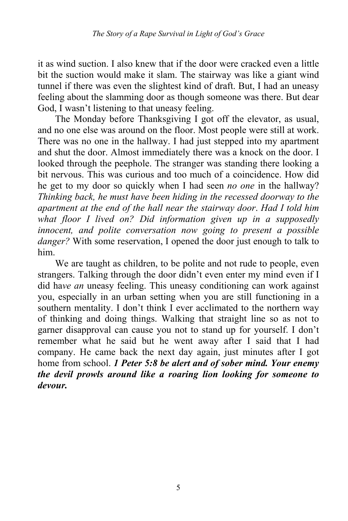it as wind suction. I also knew that if the door were cracked even a little bit the suction would make it slam. The stairway was like a giant wind tunnel if there was even the slightest kind of draft. But, I had an uneasy feeling about the slamming door as though someone was there. But dear God, I wasn't listening to that uneasy feeling.

The Monday before Thanksgiving I got off the elevator, as usual, and no one else was around on the floor. Most people were still at work. There was no one in the hallway. I had just stepped into my apartment and shut the door. Almost immediately there was a knock on the door. I looked through the peephole. The stranger was standing there looking a bit nervous. This was curious and too much of a coincidence. How did he get to my door so quickly when I had seen *no one* in the hallway? *Thinking back, he must have been hiding in the recessed doorway to the apartment at the end of the hall near the stairway door*. *Had I told him what floor I lived on? Did information given up in a supposedly innocent, and polite conversation now going to present a possible danger?* With some reservation, I opened the door just enough to talk to him.

We are taught as children, to be polite and not rude to people, even strangers. Talking through the door didn't even enter my mind even if I did ha*ve an* uneasy feeling. This uneasy conditioning can work against you, especially in an urban setting when you are still functioning in a southern mentality. I don't think I ever acclimated to the northern way of thinking and doing things. Walking that straight line so as not to garner disapproval can cause you not to stand up for yourself. I don't remember what he said but he went away after I said that I had company. He came back the next day again, just minutes after I got home from school. *1 Peter 5:8 be alert and of sober mind. Your enemy the devil prowls around like a roaring lion looking for someone to devour.*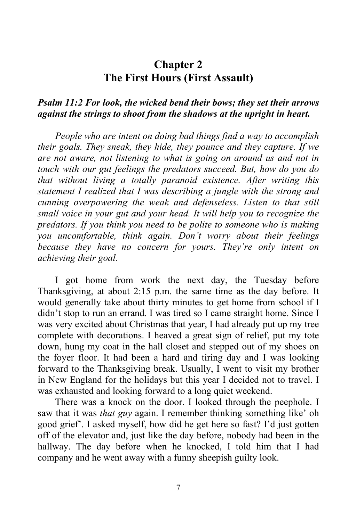#### **Chapter 2 The First Hours (First Assault)**

#### *Psalm 11:2 For look, the wicked bend their bows; they set their arrows against the strings to shoot from the shadows at the upright in heart.*

*People who are intent on doing bad things find a way to accomplish their goals. They sneak, they hide, they pounce and they capture. If we are not aware, not listening to what is going on around us and not in touch with our gut feelings the predators succeed. But, how do you do that without living a totally paranoid existence. After writing this statement I realized that I was describing a jungle with the strong and cunning overpowering the weak and defenseless. Listen to that still small voice in your gut and your head. It will help you to recognize the predators. If you think you need to be polite to someone who is making you uncomfortable, think again. Don't worry about their feelings because they have no concern for yours. They're only intent on achieving their goal.* 

I got home from work the next day, the Tuesday before Thanksgiving, at about 2:15 p.m. the same time as the day before. It would generally take about thirty minutes to get home from school if I didn't stop to run an errand. I was tired so I came straight home. Since I was very excited about Christmas that year, I had already put up my tree complete with decorations. I heaved a great sign of relief, put my tote down, hung my coat in the hall closet and stepped out of my shoes on the foyer floor. It had been a hard and tiring day and I was looking forward to the Thanksgiving break. Usually, I went to visit my brother in New England for the holidays but this year I decided not to travel. I was exhausted and looking forward to a long quiet weekend.

There was a knock on the door. I looked through the peephole. I saw that it was *that guy* again. I remember thinking something like' oh good grief'. I asked myself, how did he get here so fast? I'd just gotten off of the elevator and, just like the day before, nobody had been in the hallway. The day before when he knocked, I told him that I had company and he went away with a funny sheepish guilty look.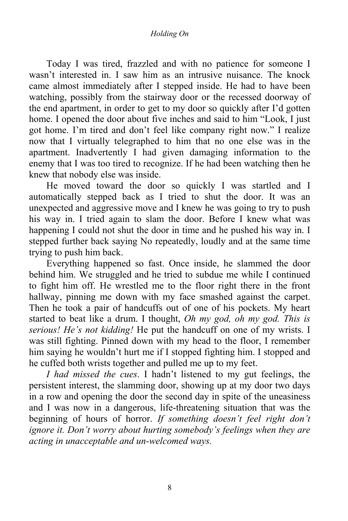Today I was tired, frazzled and with no patience for someone I wasn't interested in. I saw him as an intrusive nuisance. The knock came almost immediately after I stepped inside. He had to have been watching, possibly from the stairway door or the recessed doorway of the end apartment, in order to get to my door so quickly after I'd gotten home. I opened the door about five inches and said to him "Look, I just got home. I'm tired and don't feel like company right now." I realize now that I virtually telegraphed to him that no one else was in the apartment. Inadvertently I had given damaging information to the enemy that I was too tired to recognize. If he had been watching then he knew that nobody else was inside.

He moved toward the door so quickly I was startled and I automatically stepped back as I tried to shut the door. It was an unexpected and aggressive move and I knew he was going to try to push his way in. I tried again to slam the door. Before I knew what was happening I could not shut the door in time and he pushed his way in. I stepped further back saying No repeatedly, loudly and at the same time trying to push him back.

Everything happened so fast. Once inside, he slammed the door behind him. We struggled and he tried to subdue me while I continued to fight him off. He wrestled me to the floor right there in the front hallway, pinning me down with my face smashed against the carpet. Then he took a pair of handcuffs out of one of his pockets. My heart started to beat like a drum. I thought, *Oh my god, oh my god. This is serious! He's not kidding!* He put the handcuff on one of my wrists. I was still fighting. Pinned down with my head to the floor, I remember him saying he wouldn't hurt me if I stopped fighting him. I stopped and he cuffed both wrists together and pulled me up to my feet.

*I had missed the cues*. I hadn't listened to my gut feelings, the persistent interest, the slamming door, showing up at my door two days in a row and opening the door the second day in spite of the uneasiness and I was now in a dangerous, life-threatening situation that was the beginning of hours of horror. *If something doesn't feel right don't ignore it. Don't worry about hurting somebody's feelings when they are acting in unacceptable and un-welcomed ways.*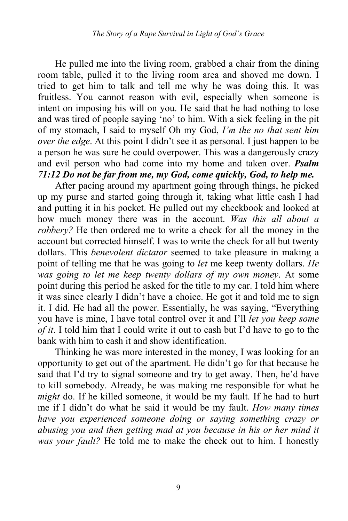He pulled me into the living room, grabbed a chair from the dining room table, pulled it to the living room area and shoved me down. I tried to get him to talk and tell me why he was doing this. It was fruitless. You cannot reason with evil, especially when someone is intent on imposing his will on you. He said that he had nothing to lose and was tired of people saying 'no' to him. With a sick feeling in the pit of my stomach, I said to myself Oh my God, *I'm the no that sent him over the edge*. At this point I didn't see it as personal. I just happen to be a person he was sure he could overpower. This was a dangerously crazy and evil person who had come into my home and taken over. *Psalm 71:12 Do not be far from me, my God, come quickly, God, to help me.*

After pacing around my apartment going through things, he picked up my purse and started going through it, taking what little cash I had and putting it in his pocket. He pulled out my checkbook and looked at how much money there was in the account. *Was this all about a robbery?* He then ordered me to write a check for all the money in the account but corrected himself. I was to write the check for all but twenty dollars. This *benevolent dictator* seemed to take pleasure in making a point of telling me that he was going to *let* me keep twenty dollars. *He was going to let me keep twenty dollars of my own money*. At some point during this period he asked for the title to my car. I told him where it was since clearly I didn't have a choice. He got it and told me to sign it. I did. He had all the power. Essentially, he was saying, "Everything you have is mine, I have total control over it and I'll *let you keep some of it*. I told him that I could write it out to cash but I'd have to go to the bank with him to cash it and show identification.

Thinking he was more interested in the money, I was looking for an opportunity to get out of the apartment. He didn't go for that because he said that I'd try to signal someone and try to get away. Then, he'd have to kill somebody. Already, he was making me responsible for what he *might* do. If he killed someone, it would be my fault. If he had to hurt me if I didn't do what he said it would be my fault. *How many times have you experienced someone doing or saying something crazy or abusing you and then getting mad at you because in his or her mind it was your fault?* He told me to make the check out to him. I honestly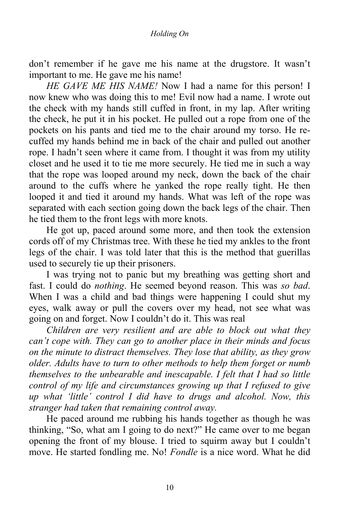don't remember if he gave me his name at the drugstore. It wasn't important to me. He gave me his name!

*HE GAVE ME HIS NAME!* Now I had a name for this person! I now knew who was doing this to me! Evil now had a name. I wrote out the check with my hands still cuffed in front, in my lap. After writing the check, he put it in his pocket. He pulled out a rope from one of the pockets on his pants and tied me to the chair around my torso. He recuffed my hands behind me in back of the chair and pulled out another rope. I hadn't seen where it came from. I thought it was from my utility closet and he used it to tie me more securely. He tied me in such a way that the rope was looped around my neck, down the back of the chair around to the cuffs where he yanked the rope really tight. He then looped it and tied it around my hands. What was left of the rope was separated with each section going down the back legs of the chair. Then he tied them to the front legs with more knots.

He got up, paced around some more, and then took the extension cords off of my Christmas tree. With these he tied my ankles to the front legs of the chair. I was told later that this is the method that guerillas used to securely tie up their prisoners.

I was trying not to panic but my breathing was getting short and fast. I could do *nothing*. He seemed beyond reason. This was *so bad*. When I was a child and bad things were happening I could shut my eyes, walk away or pull the covers over my head, not see what was going on and forget. Now I couldn't do it. This was real

*Children are very resilient and are able to block out what they can't cope with. They can go to another place in their minds and focus on the minute to distract themselves. They lose that ability, as they grow older. Adults have to turn to other methods to help them forget or numb themselves to the unbearable and inescapable. I felt that I had so little control of my life and circumstances growing up that I refused to give up what 'little' control I did have to drugs and alcohol. Now, this stranger had taken that remaining control away.* 

He paced around me rubbing his hands together as though he was thinking, "So, what am I going to do next?" He came over to me began opening the front of my blouse. I tried to squirm away but I couldn't move. He started fondling me. No! *Fondle* is a nice word. What he did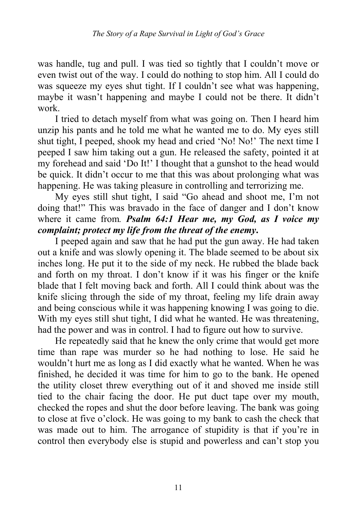was handle, tug and pull. I was tied so tightly that I couldn't move or even twist out of the way. I could do nothing to stop him. All I could do was squeeze my eyes shut tight. If I couldn't see what was happening, maybe it wasn't happening and maybe I could not be there. It didn't work.

I tried to detach myself from what was going on. Then I heard him unzip his pants and he told me what he wanted me to do. My eyes still shut tight, I peeped, shook my head and cried 'No! No!' The next time I peeped I saw him taking out a gun. He released the safety, pointed it at my forehead and said 'Do It!' I thought that a gunshot to the head would be quick. It didn't occur to me that this was about prolonging what was happening. He was taking pleasure in controlling and terrorizing me.

My eyes still shut tight, I said "Go ahead and shoot me, I'm not doing that!" This was bravado in the face of danger and I don't know where it came from*. Psalm 64:1 Hear me, my God, as I voice my complaint; protect my life from the threat of the enemy***.**

I peeped again and saw that he had put the gun away. He had taken out a knife and was slowly opening it. The blade seemed to be about six inches long. He put it to the side of my neck. He rubbed the blade back and forth on my throat. I don't know if it was his finger or the knife blade that I felt moving back and forth. All I could think about was the knife slicing through the side of my throat, feeling my life drain away and being conscious while it was happening knowing I was going to die. With my eyes still shut tight, I did what he wanted. He was threatening, had the power and was in control. I had to figure out how to survive.

He repeatedly said that he knew the only crime that would get more time than rape was murder so he had nothing to lose. He said he wouldn't hurt me as long as I did exactly what he wanted. When he was finished, he decided it was time for him to go to the bank. He opened the utility closet threw everything out of it and shoved me inside still tied to the chair facing the door. He put duct tape over my mouth, checked the ropes and shut the door before leaving. The bank was going to close at five o'clock. He was going to my bank to cash the check that was made out to him. The arrogance of stupidity is that if you're in control then everybody else is stupid and powerless and can't stop you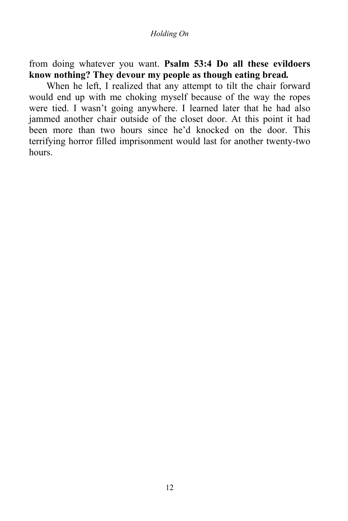from doing whatever you want. **Psalm 53:4 Do all these evildoers know nothing? They devour my people as though eating bread***.* 

When he left, I realized that any attempt to tilt the chair forward would end up with me choking myself because of the way the ropes were tied. I wasn't going anywhere. I learned later that he had also jammed another chair outside of the closet door. At this point it had been more than two hours since he'd knocked on the door. This terrifying horror filled imprisonment would last for another twenty-two **hours**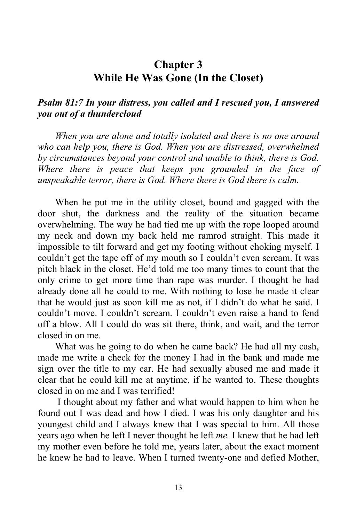#### **Chapter 3 While He Was Gone (In the Closet)**

#### *Psalm 81:7 In your distress, you called and I rescued you, I answered you out of a thundercloud*

*When you are alone and totally isolated and there is no one around who can help you, there is God. When you are distressed, overwhelmed by circumstances beyond your control and unable to think, there is God. Where there is peace that keeps you grounded in the face of unspeakable terror, there is God. Where there is God there is calm.* 

When he put me in the utility closet, bound and gagged with the door shut, the darkness and the reality of the situation became overwhelming. The way he had tied me up with the rope looped around my neck and down my back held me ramrod straight. This made it impossible to tilt forward and get my footing without choking myself. I couldn't get the tape off of my mouth so I couldn't even scream. It was pitch black in the closet. He'd told me too many times to count that the only crime to get more time than rape was murder. I thought he had already done all he could to me. With nothing to lose he made it clear that he would just as soon kill me as not, if I didn't do what he said. I couldn't move. I couldn't scream. I couldn't even raise a hand to fend off a blow. All I could do was sit there, think, and wait, and the terror closed in on me.

What was he going to do when he came back? He had all my cash, made me write a check for the money I had in the bank and made me sign over the title to my car. He had sexually abused me and made it clear that he could kill me at anytime, if he wanted to. These thoughts closed in on me and I was terrified!

 I thought about my father and what would happen to him when he found out I was dead and how I died. I was his only daughter and his youngest child and I always knew that I was special to him. All those years ago when he left I never thought he left *me.* I knew that he had left my mother even before he told me, years later, about the exact moment he knew he had to leave. When I turned twenty-one and defied Mother,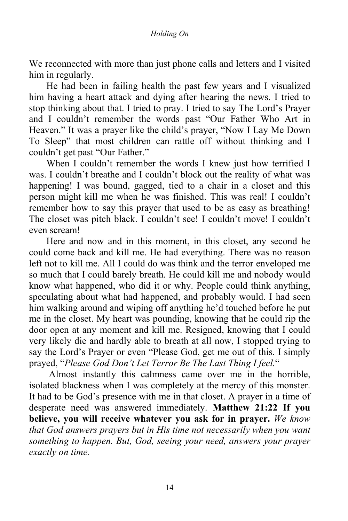We reconnected with more than just phone calls and letters and I visited him in regularly.

He had been in failing health the past few years and I visualized him having a heart attack and dying after hearing the news. I tried to stop thinking about that. I tried to pray. I tried to say The Lord's Prayer and I couldn't remember the words past "Our Father Who Art in Heaven." It was a prayer like the child's prayer, "Now I Lay Me Down To Sleep" that most children can rattle off without thinking and I couldn't get past "Our Father."

When I couldn't remember the words I knew just how terrified I was. I couldn't breathe and I couldn't block out the reality of what was happening! I was bound, gagged, tied to a chair in a closet and this person might kill me when he was finished. This was real! I couldn't remember how to say this prayer that used to be as easy as breathing! The closet was pitch black. I couldn't see! I couldn't move! I couldn't even scream!

Here and now and in this moment, in this closet, any second he could come back and kill me. He had everything. There was no reason left not to kill me. All I could do was think and the terror enveloped me so much that I could barely breath. He could kill me and nobody would know what happened, who did it or why. People could think anything, speculating about what had happened, and probably would. I had seen him walking around and wiping off anything he'd touched before he put me in the closet. My heart was pounding, knowing that he could rip the door open at any moment and kill me. Resigned, knowing that I could very likely die and hardly able to breath at all now, I stopped trying to say the Lord's Prayer or even "Please God, get me out of this. I simply prayed, "*Please God Don't Let Terror Be The Last Thing I feel.*"

 Almost instantly this calmness came over me in the horrible, isolated blackness when I was completely at the mercy of this monster. It had to be God's presence with me in that closet. A prayer in a time of desperate need was answered immediately. **Matthew 21:22 If you believe, you will receive whatever you ask for in prayer.** *We know that God answers prayers but in His time not necessarily when you want something to happen. But, God, seeing your need, answers your prayer exactly on time.*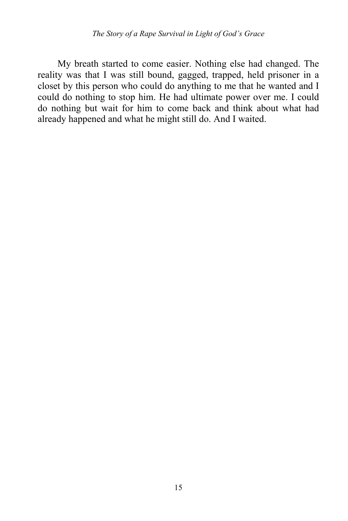My breath started to come easier. Nothing else had changed. The reality was that I was still bound, gagged, trapped, held prisoner in a closet by this person who could do anything to me that he wanted and I could do nothing to stop him. He had ultimate power over me. I could do nothing but wait for him to come back and think about what had already happened and what he might still do. And I waited.